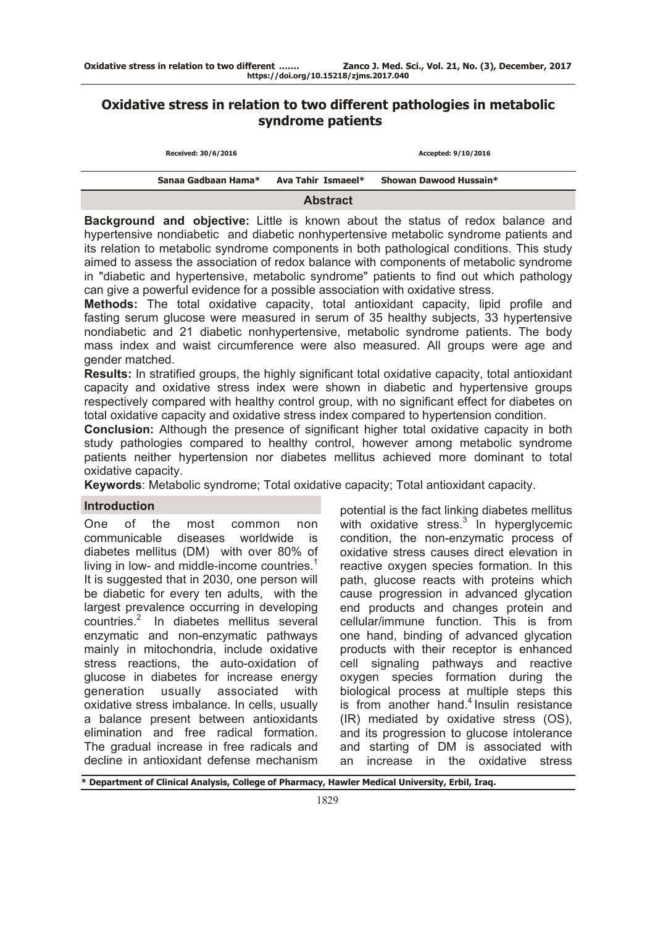# **Oxidative stress in relation to two different pathologies in metabolic syndrome patients**

| Received: 30/6/2016 |                    | Accepted: 9/10/2016    |  |
|---------------------|--------------------|------------------------|--|
| Sanaa Gadbaan Hama* | Ava Tahir Ismaeel* | Showan Dawood Hussain* |  |
|                     | <b>Abstract</b>    |                        |  |

**Background and objective:** Little is known about the status of redox balance and hypertensive nondiabetic and diabetic nonhypertensive metabolic syndrome patients and its relation to metabolic syndrome components in both pathological conditions. This study aimed to assess the association of redox balance with components of metabolic syndrome in "diabetic and hypertensive, metabolic syndrome" patients to find out which pathology can give a powerful evidence for a possible association with oxidative stress.

**Methods:** The total oxidative capacity, total antioxidant capacity, lipid profile and fasting serum glucose were measured in serum of 35 healthy subjects, 33 hypertensive nondiabetic and 21 diabetic nonhypertensive, metabolic syndrome patients. The body mass index and waist circumference were also measured. All groups were age and gender matched.

**Results:** In stratified groups, the highly significant total oxidative capacity, total antioxidant capacity and oxidative stress index were shown in diabetic and hypertensive groups respectively compared with healthy control group, with no significant effect for diabetes on total oxidative capacity and oxidative stress index compared to hypertension condition.

**Conclusion:** Although the presence of significant higher total oxidative capacity in both study pathologies compared to healthy control, however among metabolic syndrome patients neither hypertension nor diabetes mellitus achieved more dominant to total oxidative capacity.

**Keywords**: Metabolic syndrome; Total oxidative capacity; Total antioxidant capacity.

# **Introduction**

One of the most common non communicable diseases worldwide is diabetes mellitus (DM) with over 80% of living in low- and middle-income countries. $<sup>1</sup>$ </sup> It is suggested that in 2030, one person will be diabetic for every ten adults, with the largest prevalence occurring in developing countries.2 In diabetes mellitus several enzymatic and non-enzymatic pathways mainly in mitochondria, include oxidative stress reactions, the auto-oxidation of glucose in diabetes for increase energy generation usually associated with oxidative stress imbalance. In cells, usually a balance present between antioxidants elimination and free radical formation. The gradual increase in free radicals and decline in antioxidant defense mechanism

potential is the fact linking diabetes mellitus with oxidative stress. $3$  In hyperglycemic condition, the non-enzymatic process of oxidative stress causes direct elevation in reactive oxygen species formation. In this path, glucose reacts with proteins which cause progression in advanced glycation end products and changes protein and cellular/immune function. This is from one hand, binding of advanced glycation products with their receptor is enhanced cell signaling pathways and reactive oxygen species formation during the biological process at multiple steps this is from another hand. $4$  Insulin resistance (IR) mediated by oxidative stress (OS), and its progression to glucose intolerance and starting of DM is associated with an increase in the oxidative stress

**\* Department of Clinical Analysis, College of Pharmacy, Hawler Medical University, Erbil, Iraq.**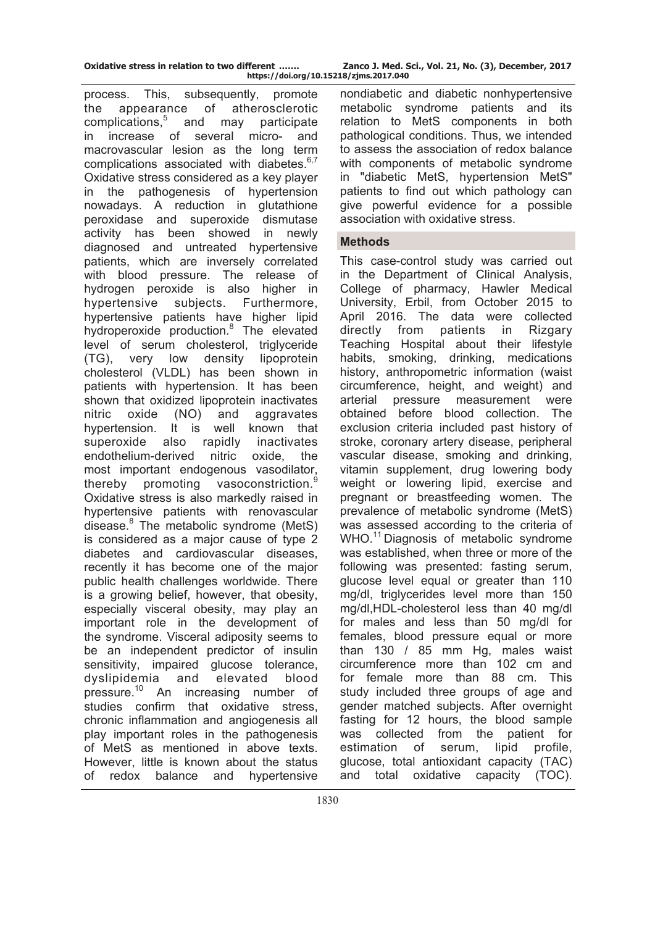| Oxidative stress in relation to two different |  |  |                |  |
|-----------------------------------------------|--|--|----------------|--|
|                                               |  |  | httne://doi.or |  |

Zanco J. Med. Sci., Vol. 21, No. (3), December, 2017 **https://doi.org/10.15218/zjms.2017.040**

process. This, subsequently, promote the appearance of atherosclerotic complications,<sup>5</sup> and may participate in increase of several micro- and macrovascular lesion as the long term complications associated with diabetes.<sup>6,7</sup> Oxidative stress considered as a key player in the pathogenesis of hypertension nowadays. A reduction in glutathione peroxidase and superoxide dismutase activity has been showed in newly diagnosed and untreated hypertensive patients, which are inversely correlated with blood pressure. The release of hydrogen peroxide is also higher in hypertensive subjects. Furthermore, hypertensive patients have higher lipid hydroperoxide production.<sup>8</sup> The elevated level of serum cholesterol, triglyceride (TG), very low density lipoprotein cholesterol (VLDL) has been shown in patients with hypertension. It has been shown that oxidized lipoprotein inactivates nitric oxide (NO) and aggravates hypertension. It is well known that superoxide also rapidly inactivates endothelium-derived nitric oxide, the most important endogenous vasodilator, thereby promoting vasoconstriction.  $\overline{a}$ Oxidative stress is also markedly raised in hypertensive patients with renovascular disease.<sup>8</sup> The metabolic syndrome (MetS) is considered as a major cause of type 2 diabetes and cardiovascular diseases, recently it has become one of the major public health challenges worldwide. There is a growing belief, however, that obesity, especially visceral obesity, may play an important role in the development of the syndrome. Visceral adiposity seems to be an independent predictor of insulin sensitivity, impaired glucose tolerance, dyslipidemia and elevated blood pressure.<sup>10</sup> An increasing number of studies confirm that oxidative stress, chronic inflammation and angiogenesis all play important roles in the pathogenesis of MetS as mentioned in above texts. However, little is known about the status of redox balance and hypertensive

nondiabetic and diabetic nonhypertensive metabolic syndrome patients and its relation to MetS components in both pathological conditions. Thus, we intended to assess the association of redox balance with components of metabolic syndrome in "diabetic MetS, hypertension MetS" patients to find out which pathology can give powerful evidence for a possible association with oxidative stress.

#### **Methods**

This case-control study was carried out in the Department of Clinical Analysis, College of pharmacy, Hawler Medical University, Erbil, from October 2015 to April 2016. The data were collected directly from patients in Rizgary Teaching Hospital about their lifestyle habits, smoking, drinking, medications history, anthropometric information (waist circumference, height, and weight) and arterial pressure measurement were obtained before blood collection. The exclusion criteria included past history of stroke, coronary artery disease, peripheral vascular disease, smoking and drinking, vitamin supplement, drug lowering body weight or lowering lipid, exercise and pregnant or breastfeeding women. The prevalence of metabolic syndrome (MetS) was assessed according to the criteria of WHO.<sup>11</sup> Diagnosis of metabolic syndrome was established, when three or more of the following was presented: fasting serum, glucose level equal or greater than 110 mg/dl, triglycerides level more than 150 mg/dl,HDL-cholesterol less than 40 mg/dl for males and less than 50 mg/dl for females, blood pressure equal or more than 130 / 85 mm Hg, males waist circumference more than 102 cm and for female more than 88 cm. This study included three groups of age and gender matched subjects. After overnight fasting for 12 hours, the blood sample was collected from the patient for estimation of serum, lipid profile, glucose, total antioxidant capacity (TAC) and total oxidative capacity (TOC).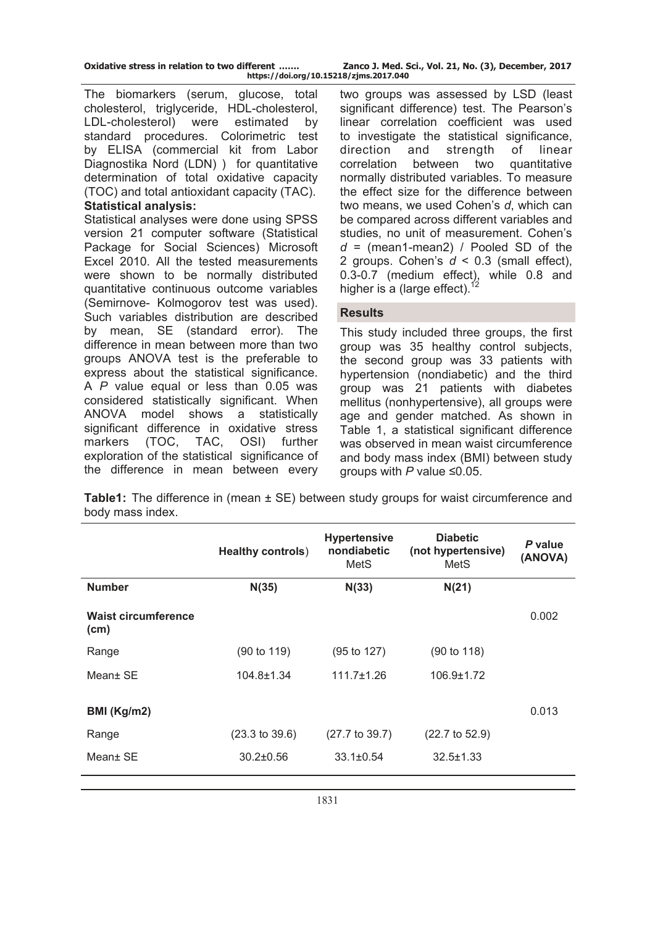| Oxidative stress in relation to two different | Zanco J. Med. Sci., Vol. 21, No.       |
|-----------------------------------------------|----------------------------------------|
|                                               | https://doi.org/10.15218/zjms.2017.040 |

The biomarkers (serum, glucose, total cholesterol, triglyceride, HDL-cholesterol, LDL-cholesterol) were estimated by standard procedures. Colorimetric test by ELISA (commercial kit from Labor Diagnostika Nord (LDN) ) for quantitative determination of total oxidative capacity (TOC) and total antioxidant capacity (TAC). **Statistical analysis:** 

Statistical analyses were done using SPSS version 21 computer software (Statistical Package for Social Sciences) Microsoft Excel 2010. All the tested measurements were shown to be normally distributed quantitative continuous outcome variables (Semirnove- Kolmogorov test was used). Such variables distribution are described by mean, SE (standard error). The difference in mean between more than two groups ANOVA test is the preferable to express about the statistical significance. A *P* value equal or less than 0.05 was considered statistically significant. When ANOVA model shows a statistically significant difference in oxidative stress markers (TOC, TAC, OSI) further exploration of the statistical significance of the difference in mean between every two groups was assessed by LSD (least significant difference) test. The Pearson's linear correlation coefficient was used to investigate the statistical significance, direction and strength of linear correlation between two quantitative normally distributed variables. To measure the effect size for the difference between two means, we used Cohen's *d*, which can be compared across different variables and studies, no unit of measurement. Cohen's *d* = (mean1-mean2) / Pooled SD of the 2 groups. Cohen's *d* < 0.3 (small effect), 0.3-0.7 (medium effect), while 0.8 and higher is a (large effect). $12$ 

**(3), December, 2017** 

# **Results**

This study included three groups, the first group was 35 healthy control subjects, the second group was 33 patients with hypertension (nondiabetic) and the third group was 21 patients with diabetes mellitus (nonhypertensive), all groups were age and gender matched. As shown in Table 1, a statistical significant difference was observed in mean waist circumference and body mass index (BMI) between study groups with *P* value ≤0.05.

**Table1:** The difference in (mean  $\pm$  SE) between study groups for waist circumference and body mass index.

|                                                 | <b>Healthy controls)</b>  | <b>Hypertensive</b><br>nondiabetic<br>MetS | <b>Diabetic</b><br>(not hypertensive)<br>MetS | P value<br>(ANOVA) |
|-------------------------------------------------|---------------------------|--------------------------------------------|-----------------------------------------------|--------------------|
| <b>Number</b>                                   | N(35)                     | N(33)                                      | N(21)                                         |                    |
| <b>Waist circumference</b><br>(c <sub>m</sub> ) |                           |                                            |                                               | 0.002              |
| Range                                           | $(90 \text{ to } 119)$    | $(95 \text{ to } 127)$                     | (90 to 118)                                   |                    |
| Mean+ SE                                        | $104.8 \pm 1.34$          | $111.7 \pm 1.26$                           | 106.9±1.72                                    |                    |
| BMI (Kg/m2)                                     |                           |                                            |                                               | 0.013              |
| Range                                           | $(23.3 \text{ to } 39.6)$ | $(27.7 \text{ to } 39.7)$                  | $(22.7 \text{ to } 52.9)$                     |                    |
| Mean+ SE                                        | $30.2 \pm 0.56$           | $33.1 \pm 0.54$                            | $32.5 \pm 1.33$                               |                    |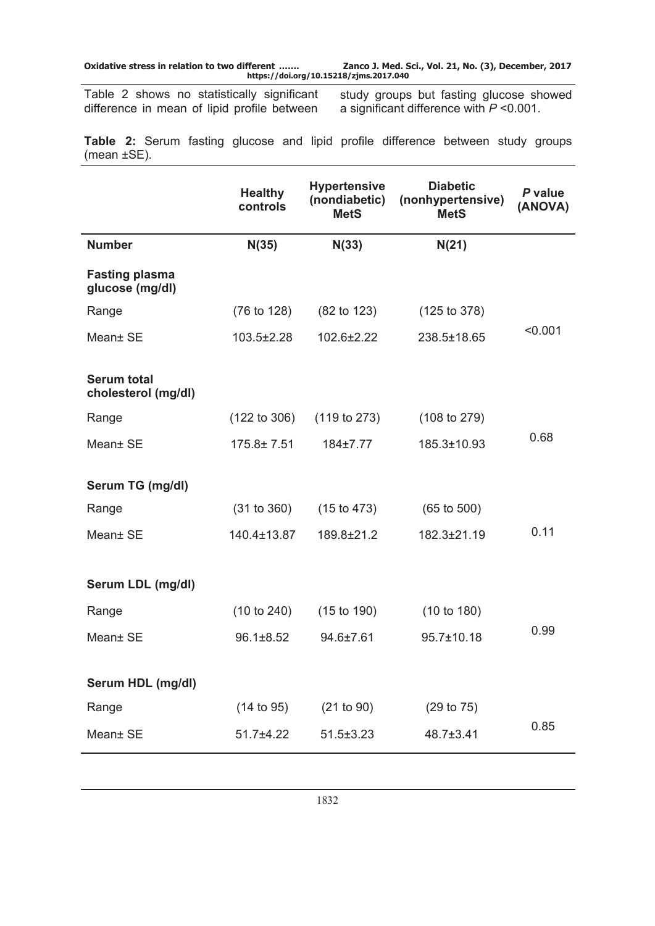**Oxidative stress in relation to two different ……. Zanco J. Med. Sci., Vol. 21, No. (3), December, 2017 https://doi.org/10.15218/zjms.2017.040**

Table 2 shows no statistically significant difference in mean of lipid profile between study groups but fasting glucose showed a significant difference with *P* ˂0.001.

**Table 2:** Serum fasting glucose and lipid profile difference between study groups (mean ±SE).

|                                           | <b>Healthy</b><br>controls | <b>Hypertensive</b><br>(nondiabetic)<br><b>MetS</b> | <b>Diabetic</b><br>(nonhypertensive)<br><b>MetS</b> | P value<br>(ANOVA) |
|-------------------------------------------|----------------------------|-----------------------------------------------------|-----------------------------------------------------|--------------------|
| <b>Number</b>                             | N(35)                      | N(33)                                               | N(21)                                               |                    |
| <b>Fasting plasma</b><br>glucose (mg/dl)  |                            |                                                     |                                                     |                    |
| Range                                     | (76 to 128)                | $(82 \text{ to } 123)$                              | (125 to 378)                                        |                    |
| Mean± SE                                  | 103.5±2.28                 | 102.6±2.22                                          | 238.5±18.65                                         | < 0.001            |
| <b>Serum total</b><br>cholesterol (mg/dl) |                            |                                                     |                                                     |                    |
| Range                                     | (122 to 306)               | (119 to 273)                                        | (108 to 279)                                        |                    |
| Mean± SE                                  | 175.8±7.51                 | 184±7.77                                            | 185.3±10.93                                         | 0.68               |
| Serum TG (mg/dl)                          |                            |                                                     |                                                     |                    |
| Range                                     | (31 to 360)                | (15 to 473)                                         | $(65 \text{ to } 500)$                              |                    |
| Mean± SE                                  | 140.4±13.87                | 189.8±21.2                                          | 182.3±21.19                                         | 0.11               |
| Serum LDL (mg/dl)                         |                            |                                                     |                                                     |                    |
| Range                                     | (10 to 240)                | (15 to 190)                                         | (10 to 180)                                         |                    |
| Mean± SE                                  | $96.1 \pm 8.52$            | 94.6±7.61                                           | $95.7 \pm 10.18$                                    | 0.99               |
| Serum HDL (mg/dl)                         |                            |                                                     |                                                     |                    |
| Range                                     | (14 to 95)                 | (21 to 90)                                          | (29 to 75)                                          |                    |
| Mean± SE                                  | $51.7 + 4.22$              | $51.5 \pm 3.23$                                     | 48.7±3.41                                           | 0.85               |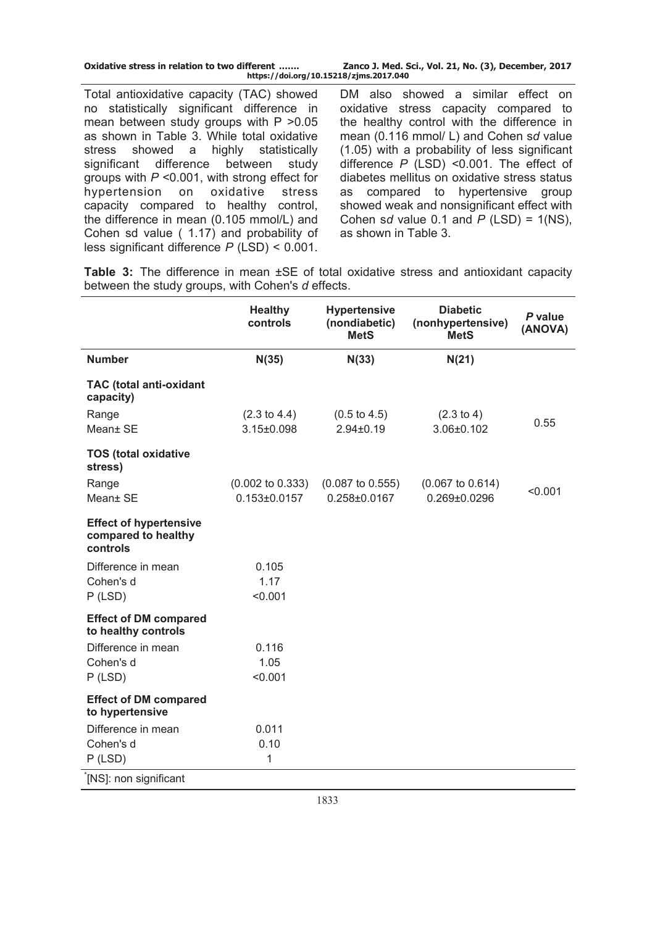| Oxidative stress in relation to two different | Zanco J. Med. Sci., Vol. 21, No. (3), December, 2017 |  |  |  |
|-----------------------------------------------|------------------------------------------------------|--|--|--|
| https://doi.org/10.15218/zjms.2017.040        |                                                      |  |  |  |

Total antioxidative capacity (TAC) showed no statistically significant difference in mean between study groups with  $P > 0.05$ as shown in Table 3. While total oxidative stress showed a highly statistically significant difference between study groups with *P* ˂0.001, with strong effect for hypertension on oxidative stress capacity compared to healthy control, the difference in mean (0.105 mmol/L) and Cohen sd value ( 1.17) and probability of less significant difference *P* (LSD) ˂ 0.001.

DM also showed a similar effect on oxidative stress capacity compared to the healthy control with the difference in mean (0.116 mmol/ L) and Cohen s*d* value (1.05) with a probability of less significant difference *P* (LSD) ˂0.001. The effect of diabetes mellitus on oxidative stress status as compared to hypertensive group showed weak and nonsignificant effect with Cohen s*d* value 0.1 and  $P$  (LSD) = 1(NS), as shown in Table 3.

**Table 3:** The difference in mean ±SE of total oxidative stress and antioxidant capacity between the study groups, with Cohen's *d* effects.

|                                                                  | <b>Healthy</b><br>controls  | <b>Hypertensive</b><br>(nondiabetic)<br><b>MetS</b> | <b>Diabetic</b><br>(nonhypertensive)<br><b>MetS</b> | P value<br>(ANOVA) |
|------------------------------------------------------------------|-----------------------------|-----------------------------------------------------|-----------------------------------------------------|--------------------|
| <b>Number</b>                                                    | N(35)                       | N(33)                                               | N(21)                                               |                    |
| <b>TAC (total anti-oxidant</b><br>capacity)                      |                             |                                                     |                                                     |                    |
| Range                                                            | $(2.3 \text{ to } 4.4)$     | $(0.5 \text{ to } 4.5)$                             | $(2.3 \text{ to } 4)$                               | 0.55               |
| Mean± SE                                                         | $3.15 \pm 0.098$            | $2.94 \pm 0.19$                                     | 3.06±0.102                                          |                    |
| <b>TOS (total oxidative</b><br>stress)                           |                             |                                                     |                                                     |                    |
| Range                                                            | $(0.002 \text{ to } 0.333)$ | $(0.087 \text{ to } 0.555)$                         | $(0.067 \text{ to } 0.614)$                         | < 0.001            |
| Mean± SE                                                         | $0.153 \pm 0.0157$          | 0.258±0.0167                                        | $0.269 \pm 0.0296$                                  |                    |
| <b>Effect of hypertensive</b><br>compared to healthy<br>controls |                             |                                                     |                                                     |                    |
| Difference in mean                                               | 0.105                       |                                                     |                                                     |                    |
| Cohen's d<br>$P$ (LSD)                                           | 1.17<br>< 0.001             |                                                     |                                                     |                    |
|                                                                  |                             |                                                     |                                                     |                    |
| <b>Effect of DM compared</b><br>to healthy controls              |                             |                                                     |                                                     |                    |
| Difference in mean                                               | 0.116                       |                                                     |                                                     |                    |
| Cohen's d                                                        | 1.05                        |                                                     |                                                     |                    |
| $P$ (LSD)                                                        | < 0.001                     |                                                     |                                                     |                    |
| <b>Effect of DM compared</b><br>to hypertensive                  |                             |                                                     |                                                     |                    |
| Difference in mean                                               | 0.011                       |                                                     |                                                     |                    |
| Cohen's d<br>$P$ (LSD)                                           | 0.10<br>1                   |                                                     |                                                     |                    |
| [NS]: non significant                                            |                             |                                                     |                                                     |                    |
|                                                                  |                             |                                                     |                                                     |                    |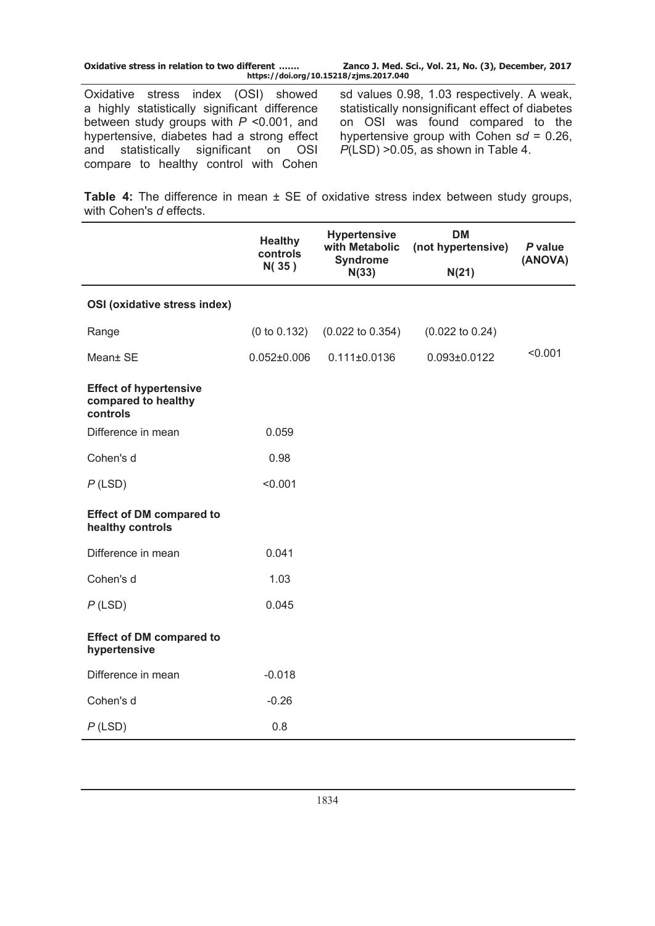| a highly statistically significant difference | Oxidative stress index (OSI) showed | sd values 0.98, 1.03 respectively. A weak,<br>statistically nonsignificant effect of diabetes |
|-----------------------------------------------|-------------------------------------|-----------------------------------------------------------------------------------------------|

between study groups with *P* ˂0.001, and hypertensive, diabetes had a strong effect and statistically significant on OSI compare to healthy control with Cohen

sd values 0.98, 1.03 respectively. A weak, statistically nonsignificant effect of diabetes on OSI was found compared to the hypertensive group with Cohen s*d* = 0.26,  $P($ LSD) > 0.05, as shown in Table 4.

**Table 4:** The difference in mean ± SE of oxidative stress index between study groups, with Cohen's *d* effects.

|                                                                  | <b>Healthy</b><br>controls<br>N(35) | <b>Hypertensive</b><br>with Metabolic<br><b>Syndrome</b><br>N(33) | <b>DM</b><br>(not hypertensive)<br>N(21) | P value<br>(ANOVA) |
|------------------------------------------------------------------|-------------------------------------|-------------------------------------------------------------------|------------------------------------------|--------------------|
|                                                                  |                                     |                                                                   |                                          |                    |
| OSI (oxidative stress index)                                     |                                     |                                                                   |                                          |                    |
| Range                                                            | (0 to 0.132)                        | $(0.022 \text{ to } 0.354)$                                       | $(0.022 \text{ to } 0.24)$               |                    |
| Mean± SE                                                         | $0.052 \pm 0.006$                   | $0.111 \pm 0.0136$                                                | $0.093 \pm 0.0122$                       | < 0.001            |
| <b>Effect of hypertensive</b><br>compared to healthy<br>controls |                                     |                                                                   |                                          |                    |
| Difference in mean                                               | 0.059                               |                                                                   |                                          |                    |
| Cohen's d                                                        | 0.98                                |                                                                   |                                          |                    |
| $P$ (LSD)                                                        | < 0.001                             |                                                                   |                                          |                    |
| <b>Effect of DM compared to</b><br>healthy controls              |                                     |                                                                   |                                          |                    |
| Difference in mean                                               | 0.041                               |                                                                   |                                          |                    |
| Cohen's d                                                        | 1.03                                |                                                                   |                                          |                    |
| $P$ (LSD)                                                        | 0.045                               |                                                                   |                                          |                    |
| <b>Effect of DM compared to</b><br>hypertensive                  |                                     |                                                                   |                                          |                    |
| Difference in mean                                               | $-0.018$                            |                                                                   |                                          |                    |
| Cohen's d                                                        | $-0.26$                             |                                                                   |                                          |                    |
| $P$ (LSD)                                                        | 0.8                                 |                                                                   |                                          |                    |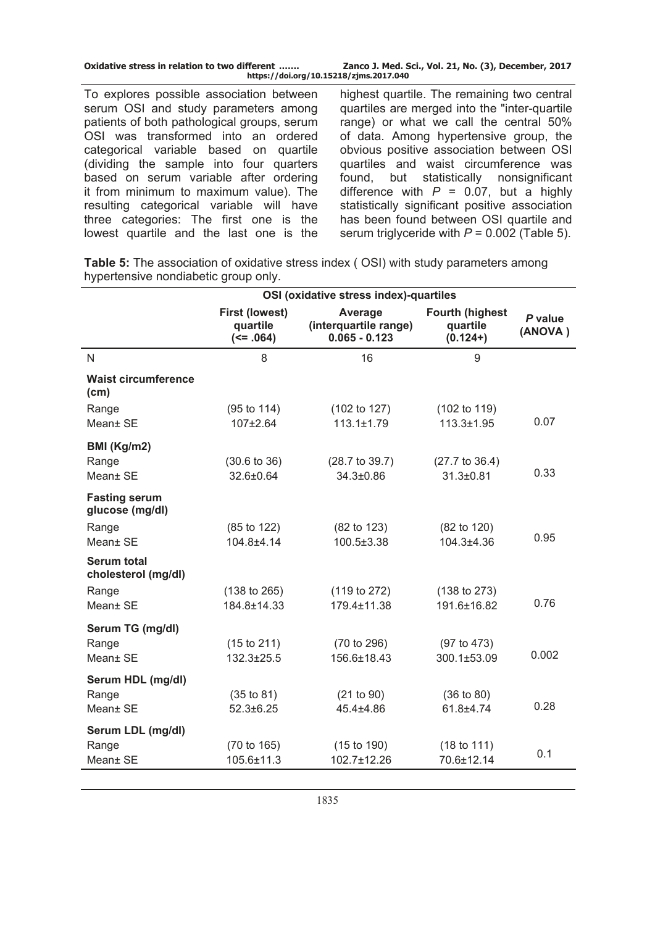| Oxidative stress in relation to two different | Zanco J. Med. Sci., Vol. 21, No. (3), December, 2017 |  |  |  |
|-----------------------------------------------|------------------------------------------------------|--|--|--|
| https://doi.org/10.15218/zjms.2017.040        |                                                      |  |  |  |

To explores possible association between serum OSI and study parameters among patients of both pathological groups, serum OSI was transformed into an ordered categorical variable based on quartile (dividing the sample into four quarters based on serum variable after ordering it from minimum to maximum value). The resulting categorical variable will have three categories: The first one is the lowest quartile and the last one is the highest quartile. The remaining two central quartiles are merged into the "inter-quartile range) or what we call the central 50% of data. Among hypertensive group, the obvious positive association between OSI quartiles and waist circumference was found, but statistically nonsignificant difference with  $P = 0.07$ , but a highly statistically significant positive association has been found between OSI quartile and serum triglyceride with  $P = 0.002$  (Table 5).

**Table 5:** The association of oxidative stress index ( OSI) with study parameters among hypertensive nondiabetic group only.

|                                           |                                                    | OSI (oxidative stress index)-quartiles              |                                                  |                    |
|-------------------------------------------|----------------------------------------------------|-----------------------------------------------------|--------------------------------------------------|--------------------|
|                                           | <b>First (lowest)</b><br>quartile<br>$(58. - 064)$ | Average<br>(interquartile range)<br>$0.065 - 0.123$ | <b>Fourth (highest</b><br>quartile<br>$(0.124+)$ | P value<br>(ANOVA) |
| N                                         | 8                                                  | 16                                                  | 9                                                |                    |
| <b>Waist circumference</b><br>(cm)        |                                                    |                                                     |                                                  |                    |
| Range                                     | $(95 \text{ to } 114)$                             | (102 to 127)                                        | (102 to 119)                                     |                    |
| Mean± SE                                  | 107±2.64                                           | $113.1 \pm 1.79$                                    | 113.3±1.95                                       | 0.07               |
| BMI (Kg/m2)                               |                                                    |                                                     |                                                  |                    |
| Range                                     | $(30.6 \text{ to } 36)$                            | $(28.7 \text{ to } 39.7)$                           | $(27.7 \text{ to } 36.4)$                        |                    |
| Mean± SE                                  | 32.6±0.64                                          | 34.3±0.86                                           | 31.3±0.81                                        | 0.33               |
| <b>Fasting serum</b><br>glucose (mg/dl)   |                                                    |                                                     |                                                  |                    |
| Range                                     | (85 to 122)                                        | (82 to 123)                                         | $(82 \text{ to } 120)$                           |                    |
| Mean± SE                                  | 104.8±4.14                                         | 100.5±3.38                                          | 104.3±4.36                                       | 0.95               |
| <b>Serum total</b><br>cholesterol (mg/dl) |                                                    |                                                     |                                                  |                    |
| Range                                     | (138 to 265)                                       | (119 to 272)                                        | (138 to 273)                                     |                    |
| Mean± SE                                  | 184.8±14.33                                        | 179.4±11.38                                         | 191.6±16.82                                      | 0.76               |
| Serum TG (mg/dl)                          |                                                    |                                                     |                                                  |                    |
| Range                                     | (15 to 211)                                        | (70 to 296)                                         | (97 to 473)                                      |                    |
| Mean± SE                                  | 132.3±25.5                                         | 156.6±18.43                                         | 300.1±53.09                                      | 0.002              |
| Serum HDL (mg/dl)                         |                                                    |                                                     |                                                  |                    |
| Range                                     | (35 to 81)                                         | (21 to 90)                                          | (36 to 80)                                       |                    |
| Mean+ SE                                  | $52.3 \pm 6.25$                                    | 45.4+4.86                                           | 61.8±4.74                                        | 0.28               |
| Serum LDL (mg/dl)                         |                                                    |                                                     |                                                  |                    |
| Range                                     | (70 to 165)                                        | (15 to 190)                                         | (18 to 111)                                      | 0.1                |
| Mean± SE                                  | 105.6±11.3                                         | 102.7±12.26                                         | 70.6±12.14                                       |                    |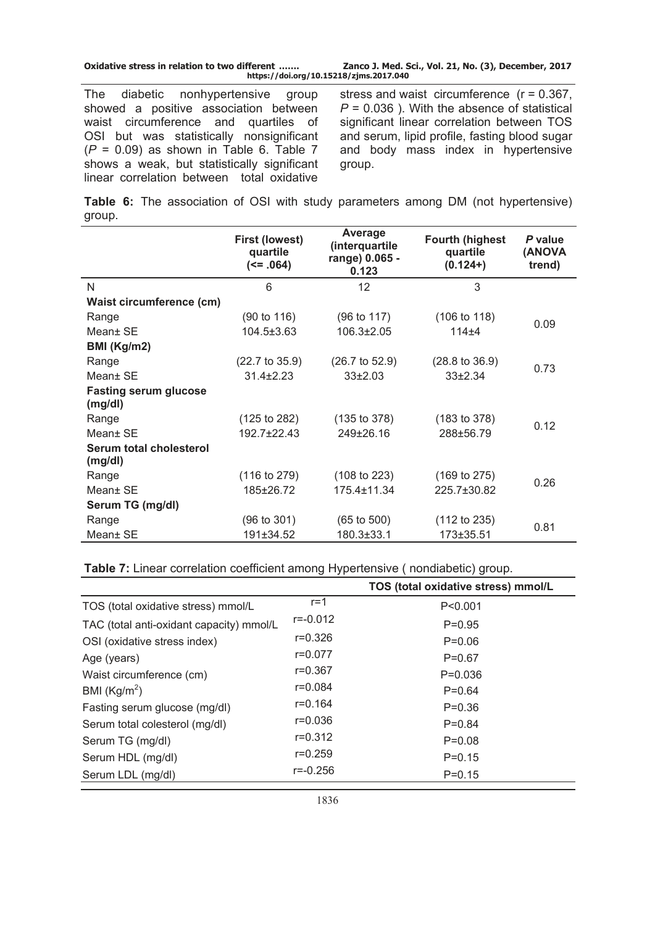| Oxidative stress in relation to two different | Zanco J. Med. Sci., Vol. 21, No. (3), December, 2017 |  |  |  |
|-----------------------------------------------|------------------------------------------------------|--|--|--|
| https://doi.org/10.15218/zjms.2017.040        |                                                      |  |  |  |

The diabetic nonhypertensive group showed a positive association between waist circumference and quartiles of OSI but was statistically nonsignificant (*P* = 0.09) as shown in Table 6. Table 7 shows a weak, but statistically significant linear correlation between total oxidative

stress and waist circumference (r = 0.367, *P* = 0.036 ). With the absence of statistical significant linear correlation between TOS and serum, lipid profile, fasting blood sugar and body mass index in hypertensive group.

**Table 6:** The association of OSI with study parameters among DM (not hypertensive) group.

|                                         | <b>First (lowest)</b><br>quartile<br>(58.064) | Average<br>(interquartile<br>range) 0.065 -<br>0.123 | <b>Fourth (highest</b><br>quartile<br>$(0.124+)$ | P value<br>(ANOVA<br>trend) |  |
|-----------------------------------------|-----------------------------------------------|------------------------------------------------------|--------------------------------------------------|-----------------------------|--|
| N                                       | 6                                             | 12                                                   | 3                                                |                             |  |
| Waist circumference (cm)                |                                               |                                                      |                                                  |                             |  |
| Range                                   | (90 to 116)                                   | (96 to 117)                                          | $(106 \text{ to } 118)$                          | 0.09                        |  |
| Mean± SE                                | $104.5 \pm 3.63$                              | 106.3±2.05                                           | $114 + 4$                                        |                             |  |
| BMI (Kg/m2)                             |                                               |                                                      |                                                  |                             |  |
| Range                                   | $(22.7 \text{ to } 35.9)$                     | $(26.7 \text{ to } 52.9)$                            | $(28.8 \text{ to } 36.9)$                        |                             |  |
| Mean+ SE                                | $31.4 \pm 2.23$                               | $33\pm2.03$                                          | $33+2.34$                                        | 0.73                        |  |
| <b>Fasting serum glucose</b><br>(mg/dl) |                                               |                                                      |                                                  |                             |  |
| Range                                   | $(125 \text{ to } 282)$                       | (135 to 378)                                         | (183 to 378)                                     | 0.12                        |  |
| Mean+ SE                                | $192.7 + 22.43$                               | 249±26.16                                            | 288±56.79                                        |                             |  |
| Serum total cholesterol<br>(mg/dl)      |                                               |                                                      |                                                  |                             |  |
| Range                                   | $(116 \text{ to } 279)$                       | (108 to 223)                                         | $(169 \text{ to } 275)$                          | 0.26                        |  |
| Mean+ SE                                | 185±26.72                                     | 175.4±11.34                                          | 225.7±30.82                                      |                             |  |
| Serum TG (mg/dl)                        |                                               |                                                      |                                                  |                             |  |
| Range                                   | $(96 \text{ to } 301)$                        | $(65 \text{ to } 500)$                               | (112 to 235)                                     | 0.81                        |  |
| Mean+ SE                                | 191±34.52                                     | 180.3±33.1                                           | 173±35.51                                        |                             |  |

**Table 7:** Linear correlation coefficient among Hypertensive ( nondiabetic) group.

|                                          |              | TOS (total oxidative stress) mmol/L |
|------------------------------------------|--------------|-------------------------------------|
| TOS (total oxidative stress) mmol/L      | $r = 1$      | P < 0.001                           |
| TAC (total anti-oxidant capacity) mmol/L | $r = -0.012$ | $P=0.95$                            |
| OSI (oxidative stress index)             | $r = 0.326$  | $P=0.06$                            |
| Age (years)                              | $r = 0.077$  | $P = 0.67$                          |
| Waist circumference (cm)                 | $r = 0.367$  | $P = 0.036$                         |
| BMI $(Kg/m2)$                            | $r = 0.084$  | $P = 0.64$                          |
| Fasting serum glucose (mg/dl)            | $r = 0.164$  | $P = 0.36$                          |
| Serum total colesterol (mg/dl)           | $r = 0.036$  | $P=0.84$                            |
| Serum TG (mg/dl)                         | $r = 0.312$  | $P = 0.08$                          |
| Serum HDL (mg/dl)                        | $r = 0.259$  | $P = 0.15$                          |
| Serum LDL (mg/dl)                        | $r = -0.256$ | $P = 0.15$                          |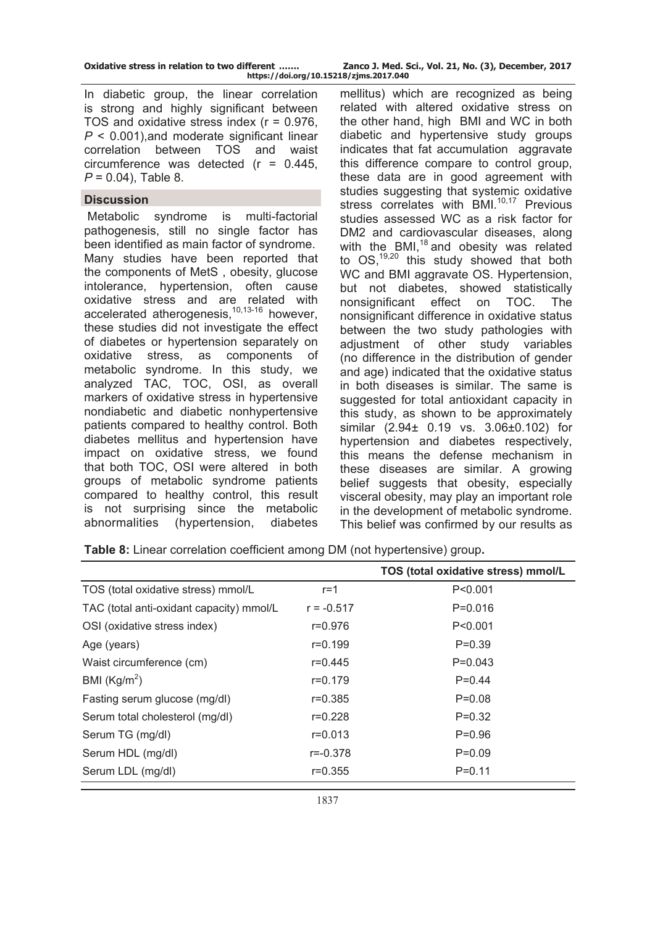| Oxidative stress in relation to two different |  |  |  |                      |
|-----------------------------------------------|--|--|--|----------------------|
|                                               |  |  |  | $http://doi.org/110$ |

Zanco J. Med. Sci., Vol. 21, No. (3), December, 2017 **https://doi.org/10.15218/zjms.2017.040**

In diabetic group, the linear correlation is strong and highly significant between TOS and oxidative stress index (r = 0.976, *P* ˂ 0.001),and moderate significant linear correlation between TOS and waist circumference was detected  $(r = 0.445)$ . *P* = 0.04), Table 8.

#### **Discussion**

 Metabolic syndrome is multi-factorial pathogenesis, still no single factor has been identified as main factor of syndrome. Many studies have been reported that the components of MetS , obesity, glucose intolerance, hypertension, often cause oxidative stress and are related with accelerated atherogenesis,<sup>10,13-16</sup> however, these studies did not investigate the effect of diabetes or hypertension separately on oxidative stress, as components of metabolic syndrome. In this study, we analyzed TAC, TOC, OSI, as overall markers of oxidative stress in hypertensive nondiabetic and diabetic nonhypertensive patients compared to healthy control. Both diabetes mellitus and hypertension have impact on oxidative stress, we found that both TOC, OSI were altered in both groups of metabolic syndrome patients compared to healthy control, this result is not surprising since the metabolic abnormalities (hypertension, diabetes

mellitus) which are recognized as being related with altered oxidative stress on the other hand, high BMI and WC in both diabetic and hypertensive study groups indicates that fat accumulation aggravate this difference compare to control group, these data are in good agreement with studies suggesting that systemic oxidative stress correlates with BMI.<sup>10,17</sup> Previous studies assessed WC as a risk factor for DM2 and cardiovascular diseases, along with the BMI, $^{18}$  and obesity was related to  $OS<sub>19,20</sub>$  this study showed that both WC and BMI aggravate OS. Hypertension, but not diabetes, showed statistically nonsignificant effect on TOC. The nonsignificant difference in oxidative status between the two study pathologies with adiustment of other study variables (no difference in the distribution of gender and age) indicated that the oxidative status in both diseases is similar. The same is suggested for total antioxidant capacity in this study, as shown to be approximately similar (2.94± 0.19 vs. 3.06±0.102) for hypertension and diabetes respectively, this means the defense mechanism in these diseases are similar. A growing belief suggests that obesity, especially visceral obesity, may play an important role in the development of metabolic syndrome. This belief was confirmed by our results as

|                                          |              | TOS (total oxidative stress) mmol/L |
|------------------------------------------|--------------|-------------------------------------|
| TOS (total oxidative stress) mmol/L      | $r = 1$      | P < 0.001                           |
| TAC (total anti-oxidant capacity) mmol/L | $r = -0.517$ | $P = 0.016$                         |
| OSI (oxidative stress index)             | $r = 0.976$  | P < 0.001                           |
| Age (years)                              | $r = 0.199$  | $P=0.39$                            |
| Waist circumference (cm)                 | r=0.445      | $P=0.043$                           |
| BMI $(Kg/m2)$                            | $r = 0.179$  | $P=0.44$                            |
| Fasting serum glucose (mg/dl)            | $r = 0.385$  | $P=0.08$                            |
| Serum total cholesterol (mg/dl)          | $r = 0.228$  | $P=0.32$                            |
| Serum TG (mg/dl)                         | $r = 0.013$  | $P=0.96$                            |
| Serum HDL (mg/dl)                        | $r = -0.378$ | $P=0.09$                            |
| Serum LDL (mg/dl)                        | $r = 0.355$  | $P = 0.11$                          |

**Table 8:** Linear correlation coefficient among DM (not hypertensive) group**.**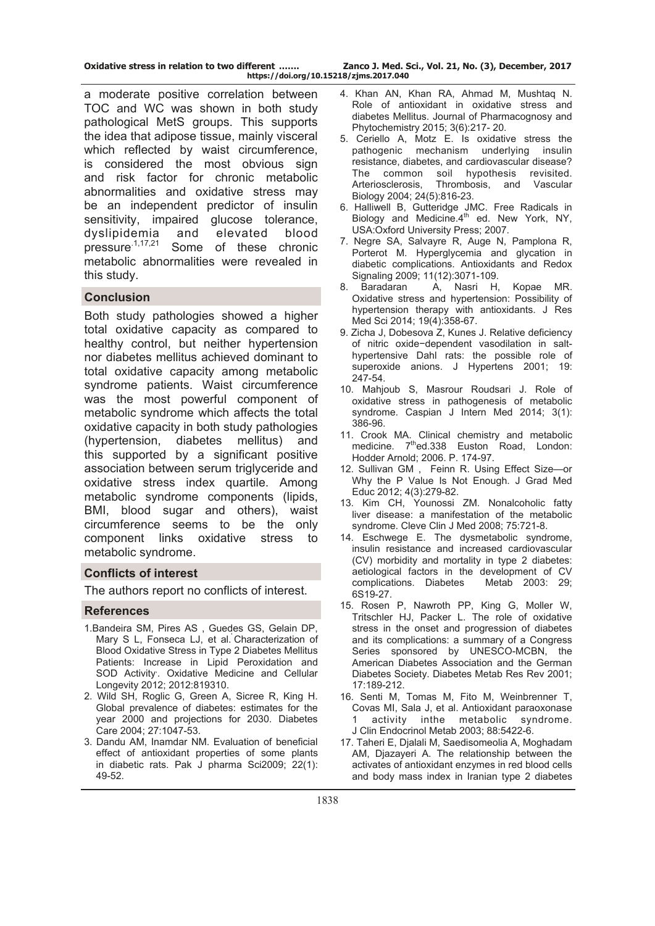a moderate positive correlation between TOC and WC was shown in both study pathological MetS groups. This supports the idea that adipose tissue, mainly visceral which reflected by waist circumference, is considered the most obvious sign and risk factor for chronic metabolic abnormalities and oxidative stress may be an independent predictor of insulin sensitivity, impaired glucose tolerance, dyslipidemia and elevated blood<br>pressure<sup>1,17,21</sup> Some of these chronic Some of these chronic metabolic abnormalities were revealed in this study.

# **Conclusion**

Both study pathologies showed a higher total oxidative capacity as compared to healthy control, but neither hypertension nor diabetes mellitus achieved dominant to total oxidative capacity among metabolic syndrome patients. Waist circumference was the most powerful component of metabolic syndrome which affects the total oxidative capacity in both study pathologies (hypertension, diabetes mellitus) and this supported by a significant positive association between serum triglyceride and oxidative stress index quartile. Among metabolic syndrome components (lipids, BMI, blood sugar and others), waist circumference seems to be the only component links oxidative stress to metabolic syndrome.

#### **Conflicts of interest**

The authors report no conflicts of interest.

# **References**

- 1.Bandeira SM, Pires AS , Guedes GS, Gelain DP, Mary S L, Fonseca LJ, et al.' Characterization of Blood Oxidative Stress in Type 2 Diabetes Mellitus Patients: Increase in Lipid Peroxidation and SOD Activity, . Oxidative Medicine and Cellular Longevity 2012; 2012:819310.
- 2. Wild SH, Roglic G, Green A, Sicree R, King H. Global prevalence of diabetes: estimates for the year 2000 and projections for 2030. Diabetes Care 2004; 27:1047-53.
- 3. Dandu AM, Inamdar NM. Evaluation of beneficial effect of antioxidant properties of some plants in diabetic rats. Pak J pharma Sci2009; 22(1): 49-52.
- 4. Khan AN, Khan RA, Ahmad M, Mushtaq N. Role of antioxidant in oxidative stress and diabetes Mellitus. Journal of Pharmacognosy and Phytochemistry 2015; 3(6):217- 20.
- 5. Ceriello A, Motz E. Is oxidative stress the pathogenic mechanism underlying insulin resistance, diabetes, and cardiovascular disease? The common soil hypothesis revisited. Arteriosclerosis, Thrombosis, and Vascular Biology 2004; 24(5):816-23.
- 6. Halliwell B, Gutteridge JMC. Free Radicals in  $Biology$  and Medicine. $4<sup>th</sup>$  ed. New York, NY, USA:Oxford University Press; 2007.
- 7. Negre SA, Salvayre R, Auge N, Pamplona R, Porterot M. Hyperglycemia and glycation in diabetic complications. Antioxidants and Redox Signaling 2009; 11(12):3071-109.
- 8. Baradaran A, Nasri H, Kopae MR. Oxidative stress and hypertension: Possibility of hypertension therapy with antioxidants. J Res Med Sci 2014; 19(4):358-67.
- 9. Zicha J, Dobesova Z, Kunes J. Relative deficiency of nitric oxide−dependent vasodilation in salthypertensive Dahl rats: the possible role of superoxide anions. J Hypertens 2001; 19: 247-54.
- 10. Mahjoub S, Masrour Roudsari J. Role of oxidative stress in pathogenesis of metabolic syndrome. Caspian J Intern Med 2014; 3(1): 386-96.
- 11. Crook MA. Clinical chemistry and metabolic medicine. 7<sup>th</sup>ed.338 Euston Road, London: Hodder Arnold; 2006. P. 174-97.
- 12. Sullivan GM , Feinn R. Using Effect Size—or Why the P Value Is Not Enough. J Grad Med Educ 2012; 4(3):279-82.
- 13. Kim CH, Younossi ZM. Nonalcoholic fatty liver disease: a manifestation of the metabolic syndrome. Cleve Clin J Med 2008; 75:721-8.
- 14. Eschwege E. The dysmetabolic syndrome, insulin resistance and increased cardiovascular (CV) morbidity and mortality in type 2 diabetes: aetiological factors in the development of CV complications. Diabetes Metab 2003: 29; 6S19-27.
- 15. Rosen P, Nawroth PP, King G, Moller W, Tritschler HJ, Packer L. The role of oxidative stress in the onset and progression of diabetes and its complications: a summary of a Congress Series sponsored by UNESCO-MCBN, the American Diabetes Association and the German Diabetes Society. Diabetes Metab Res Rev 2001; 17:189-212.
- 16. Senti M, Tomas M, Fito M, Weinbrenner T, Covas MI, Sala J, et al. Antioxidant paraoxonase 1 activity inthe metabolic syndrome. J Clin Endocrinol Metab 2003; 88:5422-6.
- 17. Taheri E, Djalali M, Saedisomeolia A, Moghadam AM. Diazaveri A. The relationship between the activates of antioxidant enzymes in red blood cells and body mass index in Iranian type 2 diabetes